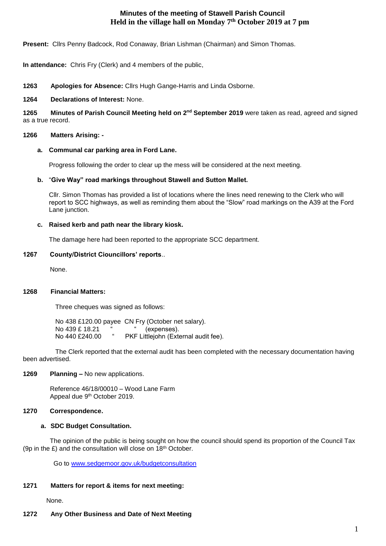# **Minutes of the meeting of Stawell Parish Council Held in the village hall on Monday 7th October 2019 at 7 pm**

**Present:** Cllrs Penny Badcock, Rod Conaway, Brian Lishman (Chairman) and Simon Thomas.

**In attendance:** Chris Fry (Clerk) and 4 members of the public,

**1263 Apologies for Absence:** Cllrs Hugh Gange-Harris and Linda Osborne.

#### **1264 Declarations of Interest:** None.

**1265 Minutes of Parish Council Meeting held on 2 nd September 2019** were taken as read, agreed and signed as a true record.

#### **1266 Matters Arising: -**

## **a. Communal car parking area in Ford Lane.**

Progress following the order to clear up the mess will be considered at the next meeting.

## **b.** "**Give Way" road markings throughout Stawell and Sutton Mallet.**

Cllr. Simon Thomas has provided a list of locations where the lines need renewing to the Clerk who will report to SCC highways, as well as reminding them about the "Slow" road markings on the A39 at the Ford Lane junction.

## **c. Raised kerb and path near the library kiosk.**

The damage here had been reported to the appropriate SCC department.

## **1267 County/District Ciouncillors' reports**..

None.

## **1268 Financial Matters:**

Three cheques was signed as follows:

 No 438 £120.00 payee CN Fry (October net salary). No 439 £ 18.21 " (expenses). No 440 £240.00 " PKF Littlejohn (External audit fee).

 The Clerk reported that the external audit has been completed with the necessary documentation having been advertised.

#### **1269 Planning –** No new applications.

 Reference 46/18/00010 – Wood Lane Farm Appeal due 9th October 2019.

#### **1270 Correspondence.**

## **a. SDC Budget Consultation.**

 The opinion of the public is being sought on how the council should spend its proportion of the Council Tax (9p in the  $E$ ) and the consultation will close on  $18<sup>th</sup>$  October.

Go to [www.sedgemoor.gov.uk/budgetconsultation](http://www.sedgemoor.gov.uk/budgetconsultation) 

#### **1271 Matters for report & items for next meeting:**

None.

## **1272 Any Other Business and Date of Next Meeting**